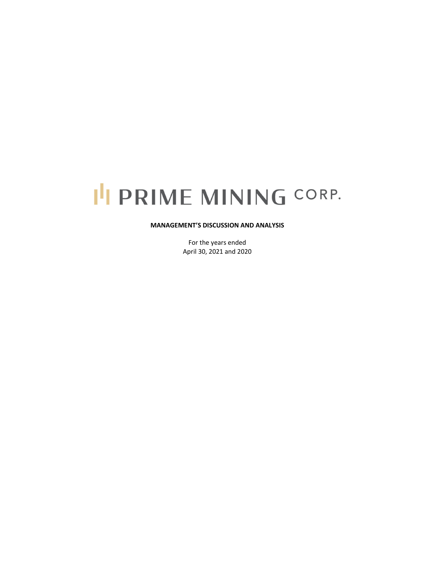# I'I PRIME MINING CORP.

## **MANAGEMENT'S DISCUSSION AND ANALYSIS**

For the years ended April 30, 2021 and 2020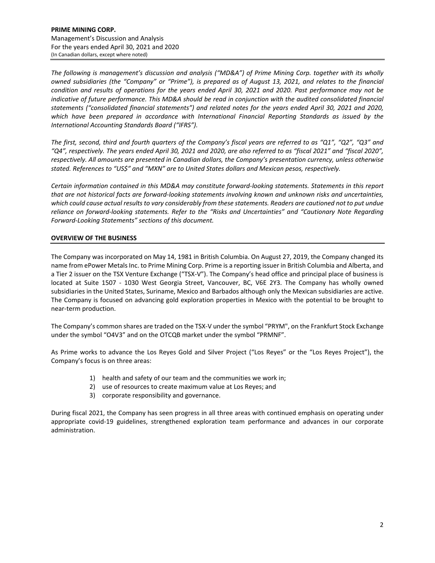*The following is management's discussion and analysis ("MD&A") of Prime Mining Corp. together with its wholly* owned subsidiaries (the "Company" or "Prime"), is prepared as of August 13, 2021, and relates to the financial condition and results of operations for the years ended April 30, 2021 and 2020. Past performance may not be indicative of future performance. This MD&A should be read in conjunction with the audited consolidated financial *statements ("consolidated financial statements") and related notes for the years ended April 30, 2021 and 2020, which have been prepared in accordance with International Financial Reporting Standards as issued by the International Accounting Standards Board ("IFRS").* 

The first, second, third and fourth quarters of the Company's fiscal years are referred to as "Q1", "Q2", "Q3" and "Q4", respectively. The years ended April 30, 2021 and 2020, are also referred to as "fiscal 2021" and "fiscal 2020", *respectively. All amounts are presented in Canadian dollars, the Company's presentation currency, unless otherwise stated. References to "US\$" and "MXN" are to United States dollars and Mexican pesos, respectively.*

*Certain information contained in this MD&A may constitute forward‐looking statements. Statements in this report* that are not historical facts are forward-looking statements involving known and unknown risks and uncertainties, which could cause actual results to vary considerably from these statements. Readers are cautioned not to put undue *reliance on forward‐looking statements. Refer to the "Risks and Uncertainties" and "Cautionary Note Regarding Forward‐Looking Statements" sections of this document.* 

# **OVERVIEW OF THE BUSINESS**

The Company was incorporated on May 14, 1981 in British Columbia. On August 27, 2019, the Company changed its name from ePower Metals Inc. to Prime Mining Corp. Prime is a reporting issuer in British Columbia and Alberta, and a Tier 2 issuer on the TSX Venture Exchange ("TSX‐V"). The Company's head office and principal place of business is located at Suite 1507 - 1030 West Georgia Street, Vancouver, BC, V6E 2Y3. The Company has wholly owned subsidiaries in the United States, Suriname, Mexico and Barbados although only the Mexican subsidiaries are active. The Company is focused on advancing gold exploration properties in Mexico with the potential to be brought to near‐term production.

The Company's common shares are traded on the TSX‐V under the symbol "PRYM", on the Frankfurt Stock Exchange under the symbol "O4V3" and on the OTCQB market under the symbol "PRMNF".

As Prime works to advance the Los Reyes Gold and Silver Project ("Los Reyes" or the "Los Reyes Project"), the Company's focus is on three areas:

- 1) health and safety of our team and the communities we work in;
- 2) use of resources to create maximum value at Los Reyes; and
- 3) corporate responsibility and governance.

During fiscal 2021, the Company has seen progress in all three areas with continued emphasis on operating under appropriate covid‐19 guidelines, strengthened exploration team performance and advances in our corporate administration.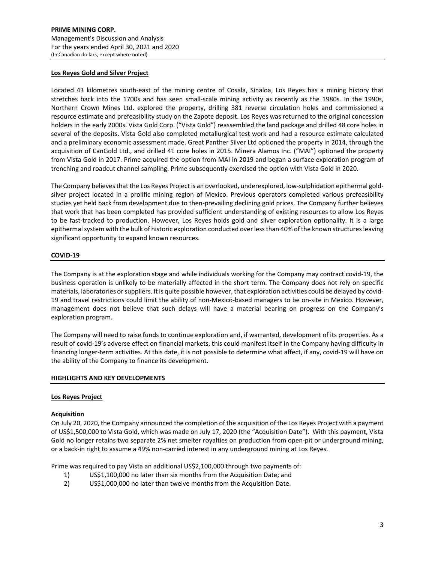## **Los Reyes Gold and Silver Project**

Located 43 kilometres south‐east of the mining centre of Cosala, Sinaloa, Los Reyes has a mining history that stretches back into the 1700s and has seen small‐scale mining activity as recently as the 1980s. In the 1990s, Northern Crown Mines Ltd. explored the property, drilling 381 reverse circulation holes and commissioned a resource estimate and prefeasibility study on the Zapote deposit. Los Reyes was returned to the original concession holders in the early 2000s. Vista Gold Corp. ("Vista Gold") reassembled the land package and drilled 48 core holes in several of the deposits. Vista Gold also completed metallurgical test work and had a resource estimate calculated and a preliminary economic assessment made. Great Panther Silver Ltd optioned the property in 2014, through the acquisition of CanGold Ltd., and drilled 41 core holes in 2015. Minera Alamos Inc. ("MAI") optioned the property from Vista Gold in 2017. Prime acquired the option from MAI in 2019 and began a surface exploration program of trenching and roadcut channel sampling. Prime subsequently exercised the option with Vista Gold in 2020.

The Company believes that the Los Reyes Project is an overlooked, underexplored, low-sulphidation epithermal goldsilver project located in a prolific mining region of Mexico. Previous operators completed various prefeasibility studies yet held back from development due to then‐prevailing declining gold prices. The Company further believes that work that has been completed has provided sufficient understanding of existing resources to allow Los Reyes to be fast-tracked to production. However, Los Reyes holds gold and silver exploration optionality. It is a large epithermal system with the bulk of historic exploration conducted over less than 40% of the known structures leaving significant opportunity to expand known resources.

## **COVID‐19**

The Company is at the exploration stage and while individuals working for the Company may contract covid‐19, the business operation is unlikely to be materially affected in the short term. The Company does not rely on specific materials, laboratories orsuppliers. It is quite possible however, that exploration activities could be delayed by covid‐ 19 and travel restrictions could limit the ability of non-Mexico-based managers to be on-site in Mexico. However, management does not believe that such delays will have a material bearing on progress on the Company's exploration program.

The Company will need to raise funds to continue exploration and, if warranted, development of its properties. As a result of covid‐19's adverse effect on financial markets, this could manifest itself in the Company having difficulty in financing longer-term activities. At this date, it is not possible to determine what affect, if any, covid-19 will have on the ability of the Company to finance its development.

## **HIGHLIGHTS AND KEY DEVELOPMENTS**

## **Los Reyes Project**

## **Acquisition**

On July 20, 2020, the Company announced the completion of the acquisition of the Los Reyes Project with a payment of US\$1,500,000 to Vista Gold, which was made on July 17, 2020 (the "Acquisition Date"). With this payment, Vista Gold no longer retains two separate 2% net smelter royalties on production from open‐pit or underground mining, or a back‐in right to assume a 49% non‐carried interest in any underground mining at Los Reyes.

Prime was required to pay Vista an additional US\$2,100,000 through two payments of:

- 1) US\$1,100,000 no later than six months from the Acquisition Date; and
- 2) US\$1,000,000 no later than twelve months from the Acquisition Date.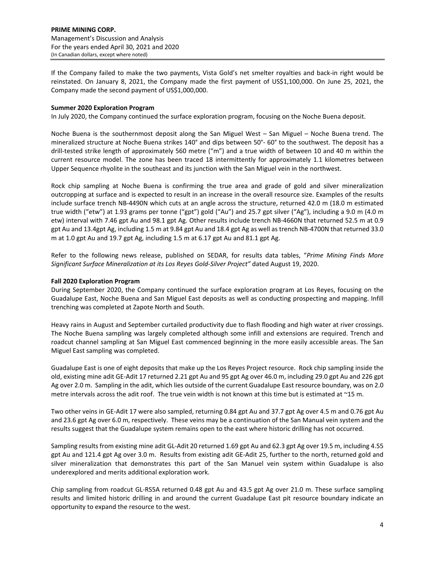If the Company failed to make the two payments, Vista Gold's net smelter royalties and back‐in right would be reinstated. On January 8, 2021, the Company made the first payment of US\$1,100,000. On June 25, 2021, the Company made the second payment of US\$1,000,000.

## **Summer 2020 Exploration Program**

In July 2020, the Company continued the surface exploration program, focusing on the Noche Buena deposit.

Noche Buena is the southernmost deposit along the San Miguel West – San Miguel – Noche Buena trend. The mineralized structure at Noche Buena strikes 140° and dips between 50°‐ 60° to the southwest. The deposit has a drill‐tested strike length of approximately 560 metre ("m") and a true width of between 10 and 40 m within the current resource model. The zone has been traced 18 intermittently for approximately 1.1 kilometres between Upper Sequence rhyolite in the southeast and its junction with the San Miguel vein in the northwest.

Rock chip sampling at Noche Buena is confirming the true area and grade of gold and silver mineralization outcropping at surface and is expected to result in an increase in the overall resource size. Examples of the results include surface trench NB‐4490N which cuts at an angle across the structure, returned 42.0 m (18.0 m estimated true width ("etw") at 1.93 grams per tonne ("gpt") gold ("Au") and 25.7 gpt silver ("Ag"), including a 9.0 m (4.0 m etw) interval with 7.46 gpt Au and 98.1 gpt Ag. Other results include trench NB‐4660N that returned 52.5 m at 0.9 gpt Au and 13.4gpt Ag, including 1.5 m at 9.84 gpt Au and 18.4 gpt Ag as well as trench NB‐4700N that returned 33.0 m at 1.0 gpt Au and 19.7 gpt Ag, including 1.5 m at 6.17 gpt Au and 81.1 gpt Ag.

Refer to the following news release, published on SEDAR, for results data tables, "*Prime Mining Finds More Significant Surface Mineralization at its Los Reyes Gold‐Silver Project"* dated August 19, 2020.

## **Fall 2020 Exploration Program**

During September 2020, the Company continued the surface exploration program at Los Reyes, focusing on the Guadalupe East, Noche Buena and San Miguel East deposits as well as conducting prospecting and mapping. Infill trenching was completed at Zapote North and South.

Heavy rains in August and September curtailed productivity due to flash flooding and high water at river crossings. The Noche Buena sampling was largely completed although some infill and extensions are required. Trench and roadcut channel sampling at San Miguel East commenced beginning in the more easily accessible areas. The San Miguel East sampling was completed.

Guadalupe East is one of eight deposits that make up the Los Reyes Project resource. Rock chip sampling inside the old, existing mine adit GE‐Adit 17 returned 2.21 gpt Au and 95 gpt Ag over 46.0 m, including 29.0 gpt Au and 226 gpt Ag over 2.0 m. Sampling in the adit, which lies outside of the current Guadalupe East resource boundary, was on 2.0 metre intervals across the adit roof. The true vein width is not known at this time but is estimated at ~15 m.

Two other veins in GE‐Adit 17 were also sampled, returning 0.84 gpt Au and 37.7 gpt Ag over 4.5 m and 0.76 gpt Au and 23.6 gpt Ag over 6.0 m, respectively. These veins may be a continuation of the San Manual vein system and the results suggest that the Guadalupe system remains open to the east where historic drilling has not occurred.

Sampling results from existing mine adit GL‐Adit 20 returned 1.69 gpt Au and 62.3 gpt Ag over 19.5 m, including 4.55 gpt Au and 121.4 gpt Ag over 3.0 m. Results from existing adit GE‐Adit 25, further to the north, returned gold and silver mineralization that demonstrates this part of the San Manuel vein system within Guadalupe is also underexplored and merits additional exploration work.

Chip sampling from roadcut GL‐RS5A returned 0.48 gpt Au and 43.5 gpt Ag over 21.0 m. These surface sampling results and limited historic drilling in and around the current Guadalupe East pit resource boundary indicate an opportunity to expand the resource to the west.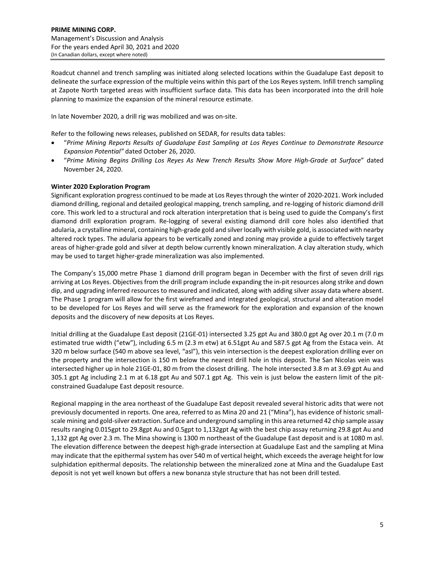Roadcut channel and trench sampling was initiated along selected locations within the Guadalupe East deposit to delineate the surface expression of the multiple veins within this part of the Los Reyes system. Infill trench sampling at Zapote North targeted areas with insufficient surface data. This data has been incorporated into the drill hole planning to maximize the expansion of the mineral resource estimate.

In late November 2020, a drill rig was mobilized and was on‐site.

Refer to the following news releases, published on SEDAR, for results data tables:

- "*Prime Mining Reports Results of Guadalupe East Sampling at Los Reyes Continue to Demonstrate Resource Expansion Potential"* dated October 26, 2020.
- "*Prime Mining Begins Drilling Los Reyes As New Trench Results Show More High‐Grade at Surface*" dated November 24, 2020.

## **Winter 2020 Exploration Program**

Significant exploration progress continued to be made at Los Reyesthrough the winter of 2020‐2021. Work included diamond drilling, regional and detailed geological mapping, trench sampling, and re‐logging of historic diamond drill core. This work led to a structural and rock alteration interpretation that is being used to guide the Company's first diamond drill exploration program. Re‐logging of several existing diamond drill core holes also identified that adularia, a crystalline mineral, containing high‐grade gold and silverlocally with visible gold, is associated with nearby altered rock types. The adularia appears to be vertically zoned and zoning may provide a guide to effectively target areas of higher-grade gold and silver at depth below currently known mineralization. A clay alteration study, which may be used to target higher‐grade mineralization was also implemented.

The Company's 15,000 metre Phase 1 diamond drill program began in December with the first of seven drill rigs arriving at Los Reyes. Objectives from the drill program include expanding the in‐pit resources along strike and down dip, and upgrading inferred resources to measured and indicated, along with adding silver assay data where absent. The Phase 1 program will allow for the first wireframed and integrated geological, structural and alteration model to be developed for Los Reyes and will serve as the framework for the exploration and expansion of the known deposits and the discovery of new deposits at Los Reyes.

Initial drilling at the Guadalupe East deposit (21GE‐01) intersected 3.25 gpt Au and 380.0 gpt Ag over 20.1 m (7.0 m estimated true width ("etw"), including 6.5 m (2.3 m etw) at 6.51gpt Au and 587.5 gpt Ag from the Estaca vein. At 320 m below surface (540 m above sea level, "asl"), this vein intersection is the deepest exploration drilling ever on the property and the intersection is 150 m below the nearest drill hole in this deposit. The San Nicolas vein was intersected higher up in hole 21GE‐01, 80 m from the closest drilling. The hole intersected 3.8 m at 3.69 gpt Au and 305.1 gpt Ag including 2.1 m at 6.18 gpt Au and 507.1 gpt Ag. This vein is just below the eastern limit of the pit‐ constrained Guadalupe East deposit resource.

Regional mapping in the area northeast of the Guadalupe East deposit revealed several historic adits that were not previously documented in reports. One area, referred to as Mina 20 and 21 ("Mina"), has evidence of historic smallscale mining and gold‐silver extraction. Surface and underground sampling in this area returned 42 chip sample assay results ranging 0.015gpt to 29.8gpt Au and 0.5gpt to 1,132gpt Ag with the best chip assay returning 29.8 gpt Au and 1,132 gpt Ag over 2.3 m. The Mina showing is 1300 m northeast of the Guadalupe East deposit and is at 1080 m asl. The elevation difference between the deepest high‐grade intersection at Guadalupe East and the sampling at Mina may indicate that the epithermal system has over 540 m of vertical height, which exceedsthe average height for low sulphidation epithermal deposits. The relationship between the mineralized zone at Mina and the Guadalupe East deposit is not yet well known but offers a new bonanza style structure that has not been drill tested.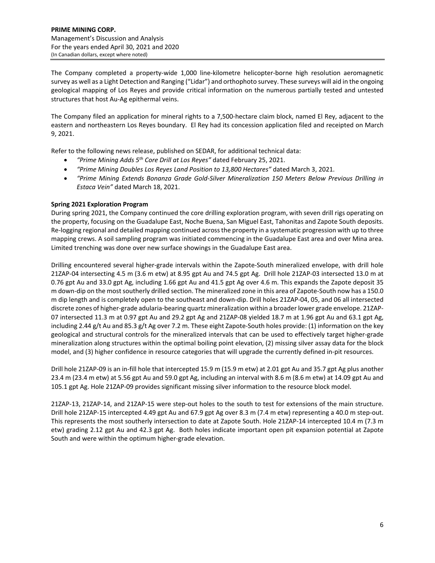The Company completed a property‐wide 1,000 line‐kilometre helicopter‐borne high resolution aeromagnetic survey as well as a Light Detection and Ranging ("Lidar") and orthophoto survey. These surveys will aid in the ongoing geological mapping of Los Reyes and provide critical information on the numerous partially tested and untested structures that host Au‐Ag epithermal veins.

The Company filed an application for mineral rights to a 7,500‐hectare claim block, named El Rey, adjacent to the eastern and northeastern Los Reyes boundary. El Rey had its concession application filed and receipted on March 9, 2021.

Refer to the following news release, published on SEDAR, for additional technical data:

- *"Prime Mining Adds 5th Core Drill at Los Reyes"* dated February 25, 2021.
- *"Prime Mining Doubles Los Reyes Land Position to 13,800 Hectares"* dated March 3, 2021.
- *"Prime Mining Extends Bonanza Grade Gold‐Silver Mineralization 150 Meters Below Previous Drilling in Estaca Vein"* dated March 18, 2021.

## **Spring 2021 Exploration Program**

During spring 2021, the Company continued the core drilling exploration program, with seven drill rigs operating on the property, focusing on the Guadalupe East, Noche Buena, San Miguel East, Tahonitas and Zapote South deposits. Re-logging regional and detailed mapping continued across the property in a systematic progression with up to three mapping crews. A soil sampling program was initiated commencing in the Guadalupe East area and over Mina area. Limited trenching was done over new surface showings in the Guadalupe East area.

Drilling encountered several higher‐grade intervals within the Zapote‐South mineralized envelope, with drill hole 21ZAP‐04 intersecting 4.5 m (3.6 m etw) at 8.95 gpt Au and 74.5 gpt Ag. Drill hole 21ZAP‐03 intersected 13.0 m at 0.76 gpt Au and 33.0 gpt Ag, including 1.66 gpt Au and 41.5 gpt Ag over 4.6 m. This expands the Zapote deposit 35 m down-dip on the most southerly drilled section. The mineralized zone in this area of Zapote-South now has a 150.0 m dip length and is completely open to the southeast and down‐dip. Drill holes 21ZAP‐04, 05, and 06 all intersected discrete zones of higher-grade adularia-bearing quartz mineralization within a broader lower grade envelope. 21ZAP-07 intersected 11.3 m at 0.97 gpt Au and 29.2 gpt Ag and 21ZAP‐08 yielded 18.7 m at 1.96 gpt Au and 63.1 gpt Ag, including 2.44 g/t Au and 85.3 g/t Ag over 7.2 m. These eight Zapote-South holes provide: (1) information on the key geological and structural controls for the mineralized intervals that can be used to effectively target higher-grade mineralization along structures within the optimal boiling point elevation, (2) missing silver assay data for the block model, and (3) higher confidence in resource categories that will upgrade the currently defined in‐pit resources.

Drill hole 21ZAP‐09 is an in‐fill hole that intercepted 15.9 m (15.9 m etw) at 2.01 gpt Au and 35.7 gpt Ag plus another 23.4 m (23.4 m etw) at 5.56 gpt Au and 59.0 gpt Ag, including an interval with 8.6 m (8.6 m etw) at 14.09 gpt Au and 105.1 gpt Ag. Hole 21ZAP‐09 provides significant missing silver information to the resource block model.

21ZAP‐13, 21ZAP‐14, and 21ZAP‐15 were step‐out holes to the south to test for extensions of the main structure. Drill hole 21ZAP-15 intercepted 4.49 gpt Au and 67.9 gpt Ag over 8.3 m (7.4 m etw) representing a 40.0 m step-out. This represents the most southerly intersection to date at Zapote South. Hole 21ZAP-14 intercepted 10.4 m (7.3 m etw) grading 2.12 gpt Au and 42.3 gpt Ag. Both holes indicate important open pit expansion potential at Zapote South and were within the optimum higher‐grade elevation.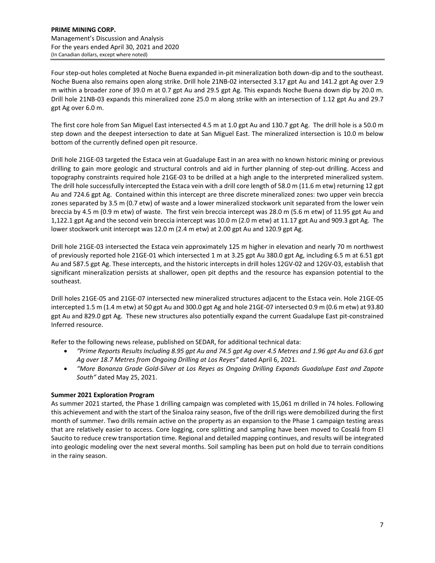Four step‐out holes completed at Noche Buena expanded in‐pit mineralization both down‐dip and to the southeast. Noche Buena also remains open along strike. Drill hole 21NB‐02 intersected 3.17 gpt Au and 141.2 gpt Ag over 2.9 m within a broader zone of 39.0 m at 0.7 gpt Au and 29.5 gpt Ag. This expands Noche Buena down dip by 20.0 m. Drill hole 21NB‐03 expands this mineralized zone 25.0 m along strike with an intersection of 1.12 gpt Au and 29.7 gpt Ag over 6.0 m.

The first core hole from San Miguel East intersected 4.5 m at 1.0 gpt Au and 130.7 gpt Ag. The drill hole is a 50.0 m step down and the deepest intersection to date at San Miguel East. The mineralized intersection is 10.0 m below bottom of the currently defined open pit resource.

Drill hole 21GE‐03 targeted the Estaca vein at Guadalupe East in an area with no known historic mining or previous drilling to gain more geologic and structural controls and aid in further planning of step-out drilling. Access and topography constraints required hole 21GE-03 to be drilled at a high angle to the interpreted mineralized system. The drill hole successfully intercepted the Estaca vein with a drill core length of 58.0 m (11.6 m etw) returning 12 gpt Au and 724.6 gpt Ag. Contained within this intercept are three discrete mineralized zones: two upper vein breccia zones separated by 3.5 m (0.7 etw) of waste and a lower mineralized stockwork unit separated from the lower vein breccia by 4.5 m (0.9 m etw) of waste. The first vein breccia intercept was 28.0 m (5.6 m etw) of 11.95 gpt Au and 1,122.1 gpt Ag and the second vein breccia intercept was 10.0 m (2.0 m etw) at 11.17 gpt Au and 909.3 gpt Ag. The lower stockwork unit intercept was 12.0 m (2.4 m etw) at 2.00 gpt Au and 120.9 gpt Ag.

Drill hole 21GE‐03 intersected the Estaca vein approximately 125 m higher in elevation and nearly 70 m northwest of previously reported hole 21GE‐01 which intersected 1 m at 3.25 gpt Au 380.0 gpt Ag, including 6.5 m at 6.51 gpt Au and 587.5 gpt Ag. These intercepts, and the historic intercepts in drill holes 12GV‐02 and 12GV‐03, establish that significant mineralization persists at shallower, open pit depths and the resource has expansion potential to the southeast.

Drill holes 21GE‐05 and 21GE‐07 intersected new mineralized structures adjacent to the Estaca vein. Hole 21GE‐05 intercepted 1.5 m (1.4 m etw) at 50 gpt Au and 300.0 gpt Ag and hole 21GE‐07 intersected 0.9 m (0.6 m etw) at 93.80 gpt Au and 829.0 gpt Ag. These new structures also potentially expand the current Guadalupe East pit‐constrained Inferred resource.

Refer to the following news release, published on SEDAR, for additional technical data:

- "Prime Reports Results Including 8.95 gpt Au and 74.5 gpt Ag over 4.5 Metres and 1.96 gpt Au and 63.6 gpt *Ag over 18.7 Metres from Ongoing Drilling at Los Reyes"* dated April 6, 2021.
- *"More Bonanza Grade Gold‐Silver at Los Reyes as Ongoing Drilling Expands Guadalupe East and Zapote South"* dated May 25, 2021.

# **Summer 2021 Exploration Program**

As summer 2021 started, the Phase 1 drilling campaign was completed with 15,061 m drilled in 74 holes. Following this achievement and with the start of the Sinaloa rainy season, five of the drill rigs were demobilized during the first month of summer. Two drills remain active on the property as an expansion to the Phase 1 campaign testing areas that are relatively easier to access. Core logging, core splitting and sampling have been moved to Cosalá from El Saucito to reduce crew transportation time. Regional and detailed mapping continues, and results will be integrated into geologic modeling over the next several months. Soil sampling has been put on hold due to terrain conditions in the rainy season.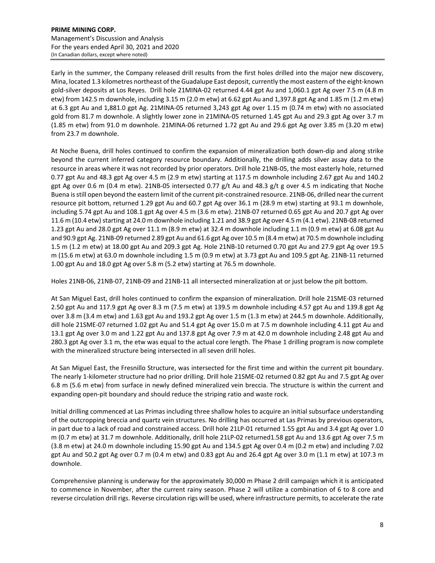Early in the summer, the Company released drill results from the first holes drilled into the major new discovery, Mina, located 1.3 kilometres northeast of the Guadalupe East deposit, currently the most eastern of the eight‐known gold‐silver deposits at Los Reyes. Drill hole 21MINA‐02 returned 4.44 gpt Au and 1,060.1 gpt Ag over 7.5 m (4.8 m etw) from 142.5 m downhole, including 3.15 m (2.0 m etw) at 6.62 gpt Au and 1,397.8 gpt Ag and 1.85 m (1.2 m etw) at 6.3 gpt Au and 1,881.0 gpt Ag. 21MINA‐05 returned 3,243 gpt Ag over 1.15 m (0.74 m etw) with no associated gold from 81.7 m downhole. A slightly lower zone in 21MINA‐05 returned 1.45 gpt Au and 29.3 gpt Ag over 3.7 m (1.85 m etw) from 91.0 m downhole. 21MINA‐06 returned 1.72 gpt Au and 29.6 gpt Ag over 3.85 m (3.20 m etw) from 23.7 m downhole.

At Noche Buena, drill holes continued to confirm the expansion of mineralization both down‐dip and along strike beyond the current inferred category resource boundary. Additionally, the drilling adds silver assay data to the resource in areas where it was not recorded by prior operators. Drill hole 21NB‐05, the most easterly hole, returned 0.77 gpt Au and 48.3 gpt Ag over 4.5 m (2.9 m etw) starting at 117.5 m downhole including 2.67 gpt Au and 140.2 gpt Ag over 0.6 m (0.4 m etw). 21NB‐05 intersected 0.77 g/t Au and 48.3 g/t g over 4.5 m indicating that Noche Buena isstill open beyond the eastern limit of the current pit‐constrained resource. 21NB‐06, drilled near the current resource pit bottom, returned 1.29 gpt Au and 60.7 gpt Ag over 36.1 m (28.9 m etw) starting at 93.1 m downhole, including 5.74 gpt Au and 108.1 gpt Ag over 4.5 m (3.6 m etw). 21NB‐07 returned 0.65 gpt Au and 20.7 gpt Ag over 11.6 m (10.4 etw) starting at 24.0 m downhole including 1.21 and 38.9 gpt Ag over 4.5 m (4.1 etw). 21NB-08 returned 1.23 gpt Au and 28.0 gpt Ag over 11.1 m (8.9 m etw) at 32.4 m downhole including 1.1 m (0.9 m etw) at 6.08 gpt Au and 90.9 gpt Ag. 21NB‐09 returned 2.89 gpt Au and 61.6 gpt Ag over 10.5 m (8.4 m etw) at 70.5 m downhole including 1.5 m (1.2 m etw) at 18.00 gpt Au and 209.3 gpt Ag. Hole 21NB‐10 returned 0.70 gpt Au and 27.9 gpt Ag over 19.5 m (15.6 m etw) at 63.0 m downhole including 1.5 m (0.9 m etw) at 3.73 gpt Au and 109.5 gpt Ag. 21NB‐11 returned 1.00 gpt Au and 18.0 gpt Ag over 5.8 m (5.2 etw) starting at 76.5 m downhole.

Holes 21NB‐06, 21NB‐07, 21NB‐09 and 21NB‐11 all intersected mineralization at or just below the pit bottom.

At San Miguel East, drill holes continued to confirm the expansion of mineralization. Drill hole 21SME‐03 returned 2.50 gpt Au and 117.9 gpt Ag over 8.3 m (7.5 m etw) at 139.5 m downhole including 4.57 gpt Au and 139.8 gpt Ag over 3.8 m (3.4 m etw) and 1.63 gpt Au and 193.2 gpt Ag over 1.5 m (1.3 m etw) at 244.5 m downhole. Additionally, dill hole 21SME‐07 returned 1.02 gpt Au and 51.4 gpt Ag over 15.0 m at 7.5 m downhole including 4.11 gpt Au and 13.1 gpt Ag over 3.0 m and 1.22 gpt Au and 137.8 gpt Ag over 7.9 m at 42.0 m downhole including 2.48 gpt Au and 280.3 gpt Ag over 3.1 m, the etw was equal to the actual core length. The Phase 1 drilling program is now complete with the mineralized structure being intersected in all seven drill holes.

At San Miguel East, the Fresnillo Structure, was intersected for the first time and within the current pit boundary. The nearly 1‐kilometer structure had no prior drilling. Drill hole 21SME‐02 returned 0.82 gpt Au and 7.5 gpt Ag over 6.8 m (5.6 m etw) from surface in newly defined mineralized vein breccia. The structure is within the current and expanding open‐pit boundary and should reduce the striping ratio and waste rock.

Initial drilling commenced at Las Primas including three shallow holes to acquire an initial subsurface understanding of the outcropping breccia and quartz vein structures. No drilling has occurred at Las Primas by previous operators, in part due to a lack of road and constrained access. Drill hole 21LP‐01 returned 1.55 gpt Au and 3.4 gpt Ag over 1.0 m (0.7 m etw) at 31.7 m downhole. Additionally, drill hole 21LP‐02 returned1.58 gpt Au and 13.6 gpt Ag over 7.5 m (3.8 m etw) at 24.0 m downhole including 15.90 gpt Au and 134.5 gpt Ag over 0.4 m (0.2 m etw) and including 7.02 gpt Au and 50.2 gpt Ag over 0.7 m (0.4 m etw) and 0.83 gpt Au and 26.4 gpt Ag over 3.0 m (1.1 m etw) at 107.3 m downhole.

Comprehensive planning is underway for the approximately 30,000 m Phase 2 drill campaign which it is anticipated to commence in November, after the current rainy season. Phase 2 will utilize a combination of 6 to 8 core and reverse circulation drill rigs. Reverse circulation rigs will be used, where infrastructure permits, to accelerate the rate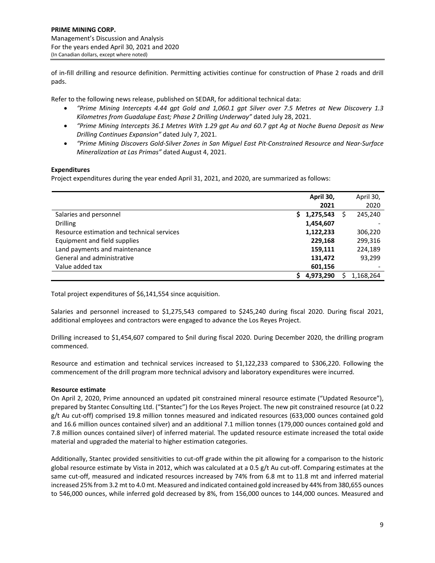of in‐fill drilling and resource definition. Permitting activities continue for construction of Phase 2 roads and drill pads.

Refer to the following news release, published on SEDAR, for additional technical data:

- *"Prime Mining Intercepts 4.44 gpt Gold and 1,060.1 gpt Silver over 7.5 Metres at New Discovery 1.3 Kilometres from Guadalupe East; Phase 2 Drilling Underway"* dated July 28, 2021.
- "Prime Mining Intercepts 36.1 Metres With 1.29 gpt Au and 60.7 gpt Ag at Noche Buena Deposit as New *Drilling Continues Expansion"* dated July 7, 2021.
- "Prime Mining Discovers Gold-Silver Zones in San Miguel East Pit-Constrained Resource and Near-Surface *Mineralization at Las Primas"* dated August 4, 2021.

## **Expenditures**

Project expenditures during the year ended April 31, 2021, and 2020, are summarized as follows:

|                                            | April 30,      |   | April 30,                |
|--------------------------------------------|----------------|---|--------------------------|
|                                            | 2021           |   | 2020                     |
| Salaries and personnel                     | 1,275,543<br>s | S | 245,240                  |
| <b>Drilling</b>                            | 1,454,607      |   |                          |
| Resource estimation and technical services | 1,122,233      |   | 306,220                  |
| Equipment and field supplies               | 229,168        |   | 299,316                  |
| Land payments and maintenance              | 159,111        |   | 224,189                  |
| General and administrative                 | 131,472        |   | 93.299                   |
| Value added tax                            | 601,156        |   | $\overline{\phantom{a}}$ |
|                                            | 4,973,290      |   | 1,168,264                |

Total project expenditures of \$6,141,554 since acquisition.

Salaries and personnel increased to \$1,275,543 compared to \$245,240 during fiscal 2020. During fiscal 2021, additional employees and contractors were engaged to advance the Los Reyes Project.

Drilling increased to \$1,454,607 compared to \$nil during fiscal 2020. During December 2020, the drilling program commenced.

Resource and estimation and technical services increased to \$1,122,233 compared to \$306,220. Following the commencement of the drill program more technical advisory and laboratory expenditures were incurred.

## **Resource estimate**

On April 2, 2020, Prime announced an updated pit constrained mineral resource estimate ("Updated Resource"), prepared by Stantec Consulting Ltd. ("Stantec") for the Los Reyes Project. The new pit constrained resource (at 0.22 g/t Au cut-off) comprised 19.8 million tonnes measured and indicated resources (633,000 ounces contained gold and 16.6 million ounces contained silver) and an additional 7.1 million tonnes (179,000 ounces contained gold and 7.8 million ounces contained silver) of inferred material. The updated resource estimate increased the total oxide material and upgraded the material to higher estimation categories.

Additionally, Stantec provided sensitivities to cut‐off grade within the pit allowing for a comparison to the historic global resource estimate by Vista in 2012, which was calculated at a 0.5 g/t Au cut-off. Comparing estimates at the same cut-off, measured and indicated resources increased by 74% from 6.8 mt to 11.8 mt and inferred material increased 25% from 3.2 mt to 4.0 mt. Measured and indicated contained gold increased by 44% from 380,655 ounces to 546,000 ounces, while inferred gold decreased by 8%, from 156,000 ounces to 144,000 ounces. Measured and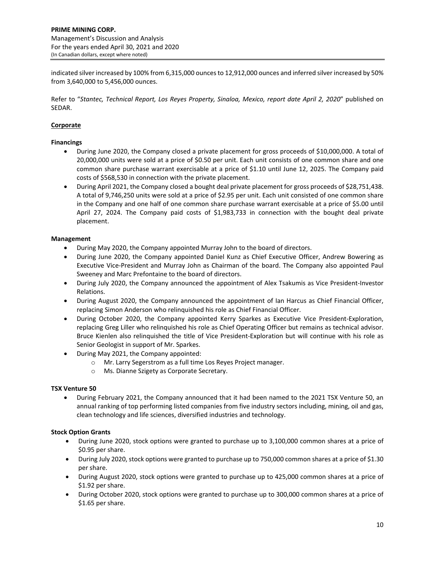indicated silver increased by 100% from 6,315,000 ounces to 12,912,000 ounces and inferred silver increased by 50% from 3,640,000 to 5,456,000 ounces.

Refer to "*Stantec, Technical Report, Los Reyes Property, Sinaloa, Mexico, report date April 2, 2020*" published on SEDAR.

# **Corporate**

## **Financings**

- During June 2020, the Company closed a private placement for gross proceeds of \$10,000,000. A total of 20,000,000 units were sold at a price of \$0.50 per unit. Each unit consists of one common share and one common share purchase warrant exercisable at a price of \$1.10 until June 12, 2025. The Company paid costs of \$568,530 in connection with the private placement.
- During April 2021, the Company closed a bought deal private placement for gross proceeds of \$28,751,438. A total of 9,746,250 units were sold at a price of \$2.95 per unit. Each unit consisted of one common share in the Company and one half of one common share purchase warrant exercisable at a price of \$5.00 until April 27, 2024. The Company paid costs of \$1,983,733 in connection with the bought deal private placement.

## **Management**

- During May 2020, the Company appointed Murray John to the board of directors.
- During June 2020, the Company appointed Daniel Kunz as Chief Executive Officer, Andrew Bowering as Executive Vice‐President and Murray John as Chairman of the board. The Company also appointed Paul Sweeney and Marc Prefontaine to the board of directors.
- During July 2020, the Company announced the appointment of Alex Tsakumis as Vice President-Investor Relations.
- During August 2020, the Company announced the appointment of Ian Harcus as Chief Financial Officer, replacing Simon Anderson who relinquished his role as Chief Financial Officer.
- During October 2020, the Company appointed Kerry Sparkes as Executive Vice President‐Exploration, replacing Greg Liller who relinquished his role as Chief Operating Officer but remains as technical advisor. Bruce Kienlen also relinquished the title of Vice President‐Exploration but will continue with his role as Senior Geologist in support of Mr. Sparkes.
- During May 2021, the Company appointed:
	- o Mr. Larry Segerstrom as a full time Los Reyes Project manager.
	- o Ms. Dianne Szigety as Corporate Secretary.

# **TSX Venture 50**

 During February 2021, the Company announced that it had been named to the 2021 TSX Venture 50, an annual ranking of top performing listed companies from five industry sectors including, mining, oil and gas, clean technology and life sciences, diversified industries and technology.

# **Stock Option Grants**

- During June 2020, stock options were granted to purchase up to 3,100,000 common shares at a price of \$0.95 per share.
- During July 2020, stock options were granted to purchase up to 750,000 common shares at a price of \$1.30 per share.
- During August 2020, stock options were granted to purchase up to 425,000 common shares at a price of \$1.92 per share.
- During October 2020, stock options were granted to purchase up to 300,000 common shares at a price of \$1.65 per share.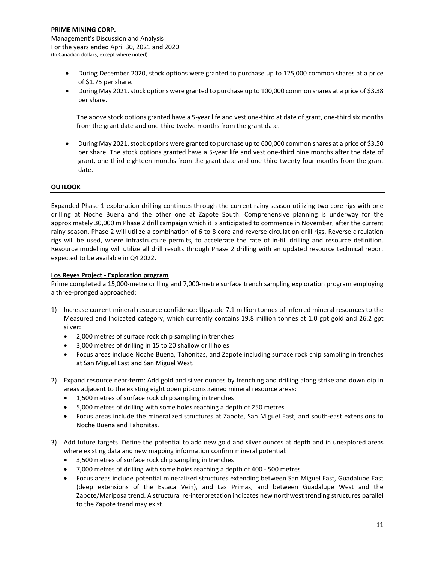- During December 2020, stock options were granted to purchase up to 125,000 common shares at a price of \$1.75 per share.
- $\bullet$  During May 2021, stock options were granted to purchase up to 100,000 common shares at a price of \$3.38 per share.

The above stock options granted have a 5‐year life and vest one‐third at date of grant, one‐third six months from the grant date and one-third twelve months from the grant date.

• During May 2021, stock options were granted to purchase up to 600,000 common shares at a price of \$3.50 per share. The stock options granted have a 5-year life and vest one-third nine months after the date of grant, one‐third eighteen months from the grant date and one‐third twenty‐four months from the grant date.

## **OUTLOOK**

Expanded Phase 1 exploration drilling continues through the current rainy season utilizing two core rigs with one drilling at Noche Buena and the other one at Zapote South. Comprehensive planning is underway for the approximately 30,000 m Phase 2 drill campaign which it is anticipated to commence in November, after the current rainy season. Phase 2 will utilize a combination of 6 to 8 core and reverse circulation drill rigs. Reverse circulation rigs will be used, where infrastructure permits, to accelerate the rate of in‐fill drilling and resource definition. Resource modelling will utilize all drill results through Phase 2 drilling with an updated resource technical report expected to be available in Q4 2022.

## **Los Reyes Project ‐ Exploration program**

Prime completed a 15,000‐metre drilling and 7,000‐metre surface trench sampling exploration program employing a three‐pronged approached:

- 1) Increase current mineral resource confidence: Upgrade 7.1 million tonnes of Inferred mineral resources to the Measured and Indicated category, which currently contains 19.8 million tonnes at 1.0 gpt gold and 26.2 gpt silver:
	- 2,000 metres of surface rock chip sampling in trenches
	- 3,000 metres of drilling in 15 to 20 shallow drill holes
	- Focus areas include Noche Buena, Tahonitas, and Zapote including surface rock chip sampling in trenches at San Miguel East and San Miguel West.
- 2) Expand resource near-term: Add gold and silver ounces by trenching and drilling along strike and down dip in areas adjacent to the existing eight open pit‐constrained mineral resource areas:
	- 1,500 metres of surface rock chip sampling in trenches
	- 5,000 metres of drilling with some holes reaching a depth of 250 metres
	- Focus areas include the mineralized structures at Zapote, San Miguel East, and south‐east extensions to Noche Buena and Tahonitas.
- 3) Add future targets: Define the potential to add new gold and silver ounces at depth and in unexplored areas where existing data and new mapping information confirm mineral potential:
	- 3,500 metres of surface rock chip sampling in trenches
	- 7,000 metres of drilling with some holes reaching a depth of 400 ‐ 500 metres
	- Focus areas include potential mineralized structures extending between San Miguel East, Guadalupe East (deep extensions of the Estaca Vein), and Las Primas, and between Guadalupe West and the Zapote/Mariposa trend. A structural re‐interpretation indicates new northwest trending structures parallel to the Zapote trend may exist.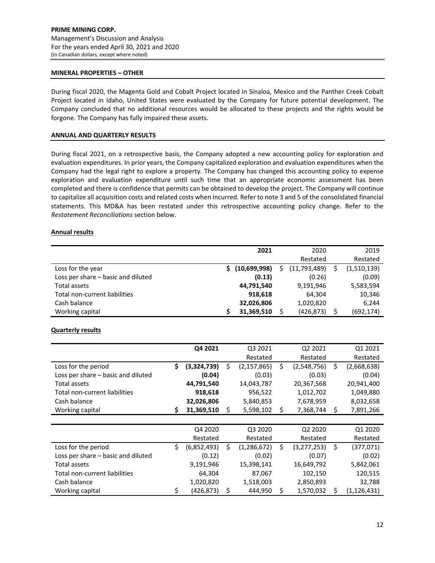#### **MINERAL PROPERTIES – OTHER**

During fiscal 2020, the Magenta Gold and Cobalt Project located in Sinaloa, Mexico and the Panther Creek Cobalt Project located in Idaho, United States were evaluated by the Company for future potential development. The Company concluded that no additional resources would be allocated to these projects and the rights would be forgone. The Company has fully impaired these assets.

#### **ANNUAL AND QUARTERLY RESULTS**

During fiscal 2021, on a retrospective basis, the Company adopted a new accounting policy for exploration and evaluation expenditures. In prior years, the Company capitalized exploration and evaluation expenditures when the Company had the legal right to explore a property. The Company has changed this accounting policy to expense exploration and evaluation expenditure until such time that an appropriate economic assessment has been completed and there is confidence that permits can be obtained to develop the project. The Company will continue to capitalize all acquisition costs and related costs when incurred. Refer to note 3 and 5 of the consolidated financial statements. This MD&A has been restated under this retrospective accounting policy change. Refer to the *Restatement Reconciliations* section below.

#### **Annual results**

|                                    | 2021            | 2020               | 2019        |
|------------------------------------|-----------------|--------------------|-------------|
|                                    |                 | Restated           | Restated    |
| Loss for the year                  | \$ (10,699,998) | \$<br>(11,793,489) | (1,510,139) |
| Loss per share – basic and diluted | (0.13)          | (0.26)             | (0.09)      |
| Total assets                       | 44,791,540      | 9,191,946          | 5,583,594   |
| Total non-current liabilities      | 918.618         | 64.304             | 10,346      |
| Cash balance                       | 32,026,806      | 1,020,820          | 6,244       |
| Working capital                    | 31,369,510      | (426, 873)         | (692, 174)  |

## **Quarterly results**

|                                    | Q4 2021           |    | Q3 2021       | Q2 2021             | Q1 2021           |
|------------------------------------|-------------------|----|---------------|---------------------|-------------------|
|                                    |                   |    | Restated      | Restated            | Restated          |
| Loss for the period                | \$<br>(3,324,739) | Ś  | (2, 157, 865) | \$<br>(2,548,756)   | \$<br>(2,668,638) |
| Loss per share - basic and diluted | (0.04)            |    | (0.03)        | (0.03)              | (0.04)            |
| Total assets                       | 44,791,540        |    | 14,043,787    | 20,367,568          | 20,941,400        |
| Total non-current liabilities      | 918,618           |    | 956,522       | 1,012,702           | 1,049,880         |
| Cash balance                       | 32,026,806        |    | 5,840,853     | 7,678,959           | 8,032,658         |
| Working capital                    | \$<br>31,369,510  | \$ | 5,598,102     | \$<br>7,368,744     | \$<br>7,891,266   |
|                                    |                   |    |               |                     |                   |
|                                    | Q4 2020           |    | Q3 2020       | Q2 2020             | Q1 2020           |
|                                    | Restated          |    | Restated      | Restated            | Restated          |
| Loss for the period                | \$<br>(6,852,493) | \$ | (1, 286, 672) | \$<br>(3, 277, 253) | \$<br>(377, 071)  |
| Loss per share - basic and diluted | (0.12)            |    | (0.02)        | (0.07)              | (0.02)            |
| Total assets                       | 9,191,946         |    | 15,398,141    | 16,649,792          | 5,842,061         |
| Total non-current liabilities      | 64,304            |    | 87,067        | 102,150             | 120,515           |
| Cash balance                       | 1,020,820         |    | 1,518,003     | 2,850,893           | 32,788            |
| Working capital                    | \$<br>(426, 873)  | \$ | 444,950       | \$<br>1,570,032     | \$<br>(1,126,431) |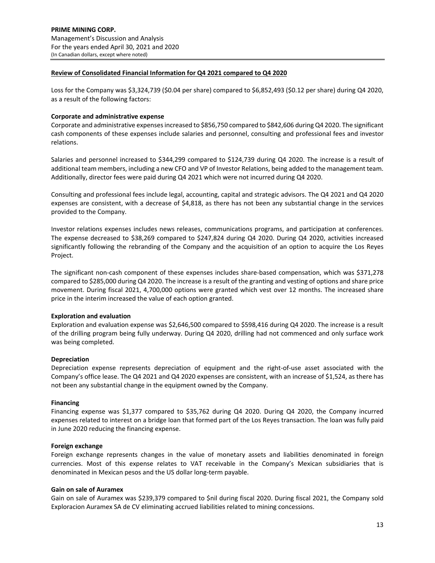## **Review of Consolidated Financial Information for Q4 2021 compared to Q4 2020**

Loss for the Company was \$3,324,739 (\$0.04 per share) compared to \$6,852,493 (\$0.12 per share) during Q4 2020, as a result of the following factors:

## **Corporate and administrative expense**

Corporate and administrative expensesincreased to \$856,750 compared to \$842,606 during Q4 2020. The significant cash components of these expenses include salaries and personnel, consulting and professional fees and investor relations.

Salaries and personnel increased to \$344,299 compared to \$124,739 during Q4 2020. The increase is a result of additional team members, including a new CFO and VP of Investor Relations, being added to the management team. Additionally, director fees were paid during Q4 2021 which were not incurred during Q4 2020.

Consulting and professional fees include legal, accounting, capital and strategic advisors. The Q4 2021 and Q4 2020 expenses are consistent, with a decrease of \$4,818, as there has not been any substantial change in the services provided to the Company.

Investor relations expenses includes news releases, communications programs, and participation at conferences. The expense decreased to \$38,269 compared to \$247,824 during Q4 2020. During Q4 2020, activities increased significantly following the rebranding of the Company and the acquisition of an option to acquire the Los Reyes Project.

The significant non‐cash component of these expenses includes share‐based compensation, which was \$371,278 compared to \$285,000 during Q4 2020. The increase is a result of the granting and vesting of options and share price movement. During fiscal 2021, 4,700,000 options were granted which vest over 12 months. The increased share price in the interim increased the value of each option granted.

# **Exploration and evaluation**

Exploration and evaluation expense was \$2,646,500 compared to \$598,416 during Q4 2020. The increase is a result of the drilling program being fully underway. During Q4 2020, drilling had not commenced and only surface work was being completed.

## **Depreciation**

Depreciation expense represents depreciation of equipment and the right-of-use asset associated with the Company's office lease. The Q4 2021 and Q4 2020 expenses are consistent, with an increase of \$1,524, as there has not been any substantial change in the equipment owned by the Company.

## **Financing**

Financing expense was \$1,377 compared to \$35,762 during Q4 2020. During Q4 2020, the Company incurred expenses related to interest on a bridge loan that formed part of the Los Reyes transaction. The loan was fully paid in June 2020 reducing the financing expense.

## **Foreign exchange**

Foreign exchange represents changes in the value of monetary assets and liabilities denominated in foreign currencies. Most of this expense relates to VAT receivable in the Company's Mexican subsidiaries that is denominated in Mexican pesos and the US dollar long‐term payable.

## **Gain on sale of Auramex**

Gain on sale of Auramex was \$239,379 compared to \$nil during fiscal 2020. During fiscal 2021, the Company sold Exploracion Auramex SA de CV eliminating accrued liabilities related to mining concessions.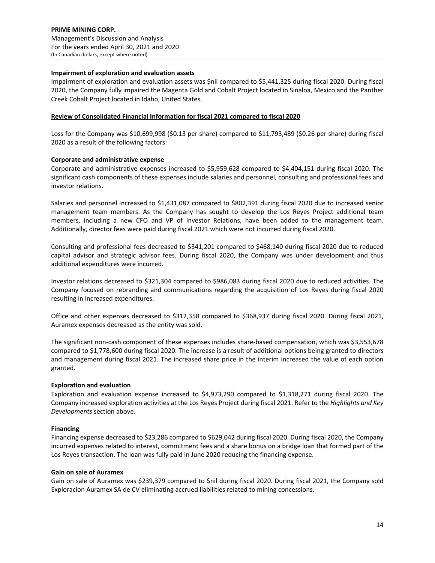## **Impairment of exploration and evaluation assets**

Impairment of exploration and evaluation assets was \$nil compared to \$5,441,325 during fiscal 2020. During fiscal 2020, the Company fully impaired the Magenta Gold and Cobalt Project located in Sinaloa, Mexico and the Panther Creek Cobalt Project located in Idaho, United States.

## **Review of Consolidated Financial Information for fiscal 2021 compared to fiscal 2020**

Loss for the Company was \$10,699,998 (\$0.13 per share) compared to \$11,793,489 (\$0.26 per share) during fiscal 2020 as a result of the following factors:

## **Corporate and administrative expense**

Corporate and administrative expenses increased to \$5,959,628 compared to \$4,404,151 during fiscal 2020. The significant cash components of these expenses include salaries and personnel, consulting and professional fees and investor relations.

Salaries and personnel increased to \$1,431,087 compared to \$802,391 during fiscal 2020 due to increased senior management team members. As the Company has sought to develop the Los Reyes Project additional team members, including a new CFO and VP of Investor Relations, have been added to the management team. Additionally, director fees were paid during fiscal 2021 which were not incurred during fiscal 2020.

Consulting and professional fees decreased to \$341,201 compared to \$468,140 during fiscal 2020 due to reduced capital advisor and strategic advisor fees. During fiscal 2020, the Company was under development and thus additional expenditures were incurred.

Investor relations decreased to \$321,304 compared to \$986,083 during fiscal 2020 due to reduced activities. The Company focused on rebranding and communications regarding the acquisition of Los Reyes during fiscal 2020 resulting in increased expenditures.

Office and other expenses decreased to \$312,358 compared to \$368,937 during fiscal 2020. During fiscal 2021, Auramex expenses decreased as the entity was sold.

The significant non‐cash component of these expenses includes share‐based compensation, which was \$3,553,678 compared to \$1,778,600 during fiscal 2020. The increase is a result of additional options being granted to directors and management during fiscal 2021. The increased share price in the interim increased the value of each option granted.

# **Exploration and evaluation**

Exploration and evaluation expense increased to \$4,973,290 compared to \$1,318,271 during fiscal 2020. The Company increased exploration activities at the Los Reyes Project during fiscal 2021. Refer to the *Highlights and Key Developments* section above.

# **Financing**

Financing expense decreased to \$23,286 compared to \$629,042 during fiscal 2020. During fiscal 2020, the Company incurred expenses related to interest, commitment fees and a share bonus on a bridge loan that formed part of the Los Reyes transaction. The loan was fully paid in June 2020 reducing the financing expense.

## **Gain on sale of Auramex**

Gain on sale of Auramex was \$239,379 compared to \$nil during fiscal 2020. During fiscal 2021, the Company sold Exploracion Auramex SA de CV eliminating accrued liabilities related to mining concessions.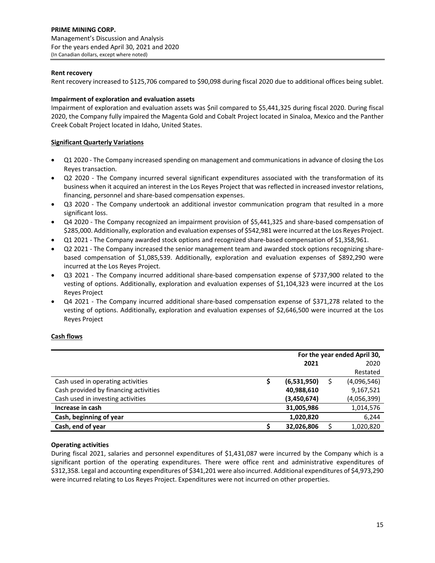## **Rent recovery**

Rent recovery increased to \$125,706 compared to \$90,098 during fiscal 2020 due to additional offices being sublet.

## **Impairment of exploration and evaluation assets**

Impairment of exploration and evaluation assets was \$nil compared to \$5,441,325 during fiscal 2020. During fiscal 2020, the Company fully impaired the Magenta Gold and Cobalt Project located in Sinaloa, Mexico and the Panther Creek Cobalt Project located in Idaho, United States.

# **Significant Quarterly Variations**

- Q1 2020 ‐ The Company increased spending on management and communications in advance of closing the Los Reyes transaction.
- Q2 2020 The Company incurred several significant expenditures associated with the transformation of its business when it acquired an interest in the Los Reyes Project that was reflected in increased investor relations, financing, personnel and share‐based compensation expenses.
- Q3 2020 The Company undertook an additional investor communication program that resulted in a more significant loss.
- Q4 2020 The Company recognized an impairment provision of \$5,441,325 and share-based compensation of \$285,000. Additionally, exploration and evaluation expenses of \$542,981 were incurred at the Los Reyes Project.
- Q1 2021 ‐ The Company awarded stock options and recognized share‐based compensation of \$1,358,961.
- Q2 2021 The Company increased the senior management team and awarded stock options recognizing sharebased compensation of \$1,085,539. Additionally, exploration and evaluation expenses of \$892,290 were incurred at the Los Reyes Project.
- Q3 2021 The Company incurred additional share-based compensation expense of \$737,900 related to the vesting of options. Additionally, exploration and evaluation expenses of \$1,104,323 were incurred at the Los Reyes Project
- Q4 2021 The Company incurred additional share-based compensation expense of \$371,278 related to the vesting of options. Additionally, exploration and evaluation expenses of \$2,646,500 were incurred at the Los Reyes Project

## **Cash flows**

|                                       |   | For the year ended April 30, |  |             |  |  |  |
|---------------------------------------|---|------------------------------|--|-------------|--|--|--|
|                                       |   | 2021                         |  | 2020        |  |  |  |
|                                       |   |                              |  | Restated    |  |  |  |
| Cash used in operating activities     | S | (6,531,950)                  |  | (4,096,546) |  |  |  |
| Cash provided by financing activities |   | 40,988,610                   |  | 9,167,521   |  |  |  |
| Cash used in investing activities     |   | (3,450,674)                  |  | (4,056,399) |  |  |  |
| Increase in cash                      |   | 31,005,986                   |  | 1,014,576   |  |  |  |
| Cash, beginning of year               |   | 1,020,820                    |  | 6,244       |  |  |  |
| Cash, end of year                     |   | 32,026,806                   |  | 1,020,820   |  |  |  |

# **Operating activities**

During fiscal 2021, salaries and personnel expenditures of \$1,431,087 were incurred by the Company which is a significant portion of the operating expenditures. There were office rent and administrative expenditures of \$312,358. Legal and accounting expenditures of \$341,201 were also incurred. Additional expenditures of \$4,973,290 were incurred relating to Los Reyes Project. Expenditures were not incurred on other properties.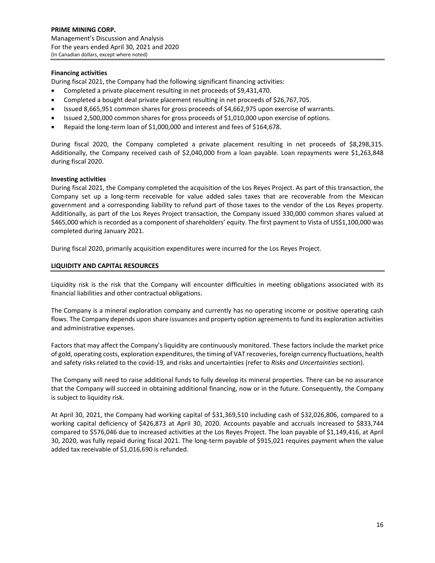## **Financing activities**

During fiscal 2021, the Company had the following significant financing activities:

- Completed a private placement resulting in net proceeds of \$9,431,470.
- Completed a bought deal private placement resulting in net proceeds of \$26,767,705.
- Issued 8,665,951 common shares for gross proceeds of \$4,662,975 upon exercise of warrants.
- Issued 2,500,000 common shares for gross proceeds of \$1,010,000 upon exercise of options.
- Repaid the long‐term loan of \$1,000,000 and interest and fees of \$164,678.

During fiscal 2020, the Company completed a private placement resulting in net proceeds of \$8,298,315. Additionally, the Company received cash of \$2,040,000 from a loan payable. Loan repayments were \$1,263,848 during fiscal 2020.

## **Investing activities**

During fiscal 2021, the Company completed the acquisition of the Los Reyes Project. As part of this transaction, the Company set up a long‐term receivable for value added sales taxes that are recoverable from the Mexican government and a corresponding liability to refund part of those taxes to the vendor of the Los Reyes property. Additionally, as part of the Los Reyes Project transaction, the Company issued 330,000 common shares valued at \$465,000 which is recorded as a component of shareholders' equity. The first payment to Vista of US\$1,100,000 was completed during January 2021.

During fiscal 2020, primarily acquisition expenditures were incurred for the Los Reyes Project.

## **LIQUIDITY AND CAPITAL RESOURCES**

Liquidity risk is the risk that the Company will encounter difficulties in meeting obligations associated with its financial liabilities and other contractual obligations.

The Company is a mineral exploration company and currently has no operating income or positive operating cash flows. The Company depends upon share issuances and property option agreementsto fund its exploration activities and administrative expenses.

Factors that may affect the Company's liquidity are continuously monitored. These factors include the market price of gold, operating costs, exploration expenditures, the timing of VAT recoveries, foreign currency fluctuations, health and safety risks related to the covid‐19, and risks and uncertainties (refer to *Risks and Uncertainties* section).

The Company will need to raise additional funds to fully develop its mineral properties. There can be no assurance that the Company will succeed in obtaining additional financing, now or in the future. Consequently, the Company is subject to liquidity risk.

At April 30, 2021, the Company had working capital of \$31,369,510 including cash of \$32,026,806, compared to a working capital deficiency of \$426,873 at April 30, 2020. Accounts payable and accruals increased to \$833,744 compared to \$576,046 due to increased activities at the Los Reyes Project. The loan payable of \$1,149,416, at April 30, 2020, was fully repaid during fiscal 2021. The long-term payable of \$915,021 requires payment when the value added tax receivable of \$1,016,690 is refunded.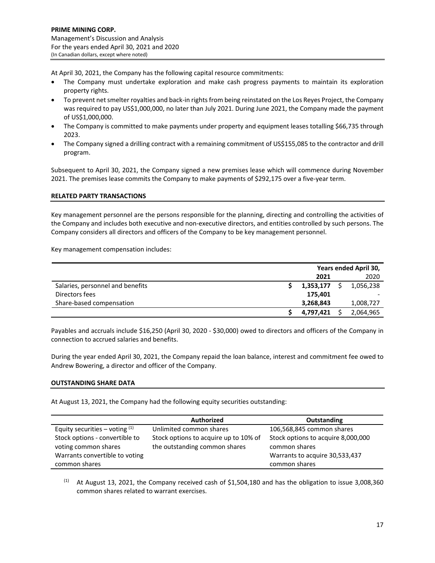At April 30, 2021, the Company has the following capital resource commitments:

- The Company must undertake exploration and make cash progress payments to maintain its exploration property rights.
- To prevent net smelter royalties and back-in rights from being reinstated on the Los Reyes Project, the Company was required to pay US\$1,000,000, no later than July 2021. During June 2021, the Company made the payment of US\$1,000,000.
- The Company is committed to make payments under property and equipment leases totalling \$66,735 through 2023.
- The Company signed a drilling contract with a remaining commitment of US\$155,085 to the contractor and drill program.

Subsequent to April 30, 2021, the Company signed a new premises lease which will commence during November 2021. The premises lease commits the Company to make payments of \$292,175 over a five‐year term.

# **RELATED PARTY TRANSACTIONS**

Key management personnel are the persons responsible for the planning, directing and controlling the activities of the Company and includes both executive and non‐executive directors, and entities controlled by such persons. The Company considers all directors and officers of the Company to be key management personnel.

Key management compensation includes:

|                                  | Years ended April 30, |  |           |  |
|----------------------------------|-----------------------|--|-----------|--|
|                                  | 2021                  |  | 2020      |  |
| Salaries, personnel and benefits | 1,353,177             |  | 1,056,238 |  |
| Directors fees                   | 175,401               |  |           |  |
| Share-based compensation         | 3,268,843             |  | 1,008,727 |  |
|                                  | 4,797,421             |  | 2,064,965 |  |

Payables and accruals include \$16,250 (April 30, 2020 ‐ \$30,000) owed to directors and officers of the Company in connection to accrued salaries and benefits.

During the year ended April 30, 2021, the Company repaid the loan balance, interest and commitment fee owed to Andrew Bowering, a director and officer of the Company.

## **OUTSTANDING SHARE DATA**

At August 13, 2021, the Company had the following equity securities outstanding:

|                                  | <b>Authorized</b>                     | Outstanding                        |
|----------------------------------|---------------------------------------|------------------------------------|
| Equity securities – voting $(1)$ | Unlimited common shares               | 106,568,845 common shares          |
| Stock options - convertible to   | Stock options to acquire up to 10% of | Stock options to acquire 8,000,000 |
| voting common shares             | the outstanding common shares         | common shares                      |
| Warrants convertible to voting   |                                       | Warrants to acquire 30,533,437     |
| common shares                    |                                       | common shares                      |

<sup>(1)</sup> At August 13, 2021, the Company received cash of \$1,504,180 and has the obligation to issue 3,008,360 common shares related to warrant exercises.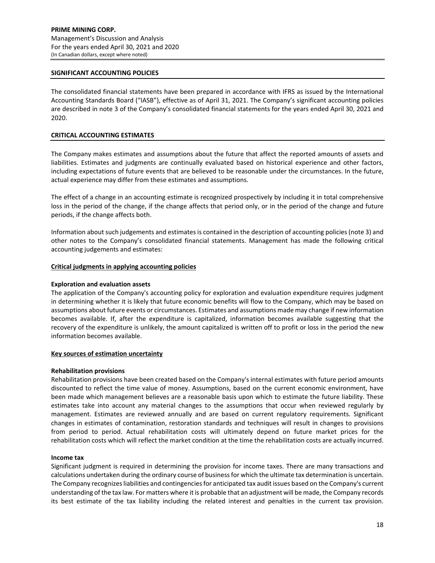## **SIGNIFICANT ACCOUNTING POLICIES**

The consolidated financial statements have been prepared in accordance with IFRS as issued by the International Accounting Standards Board ("IASB"), effective as of April 31, 2021. The Company's significant accounting policies are described in note 3 of the Company's consolidated financial statements for the years ended April 30, 2021 and 2020.

#### **CRITICAL ACCOUNTING ESTIMATES**

The Company makes estimates and assumptions about the future that affect the reported amounts of assets and liabilities. Estimates and judgments are continually evaluated based on historical experience and other factors, including expectations of future events that are believed to be reasonable under the circumstances. In the future, actual experience may differ from these estimates and assumptions.

The effect of a change in an accounting estimate is recognized prospectively by including it in total comprehensive loss in the period of the change, if the change affects that period only, or in the period of the change and future periods, if the change affects both.

Information about such judgements and estimatesis contained in the description of accounting policies(note 3) and other notes to the Company's consolidated financial statements. Management has made the following critical accounting judgements and estimates:

#### **Critical judgments in applying accounting policies**

#### **Exploration and evaluation assets**

The application of the Company's accounting policy for exploration and evaluation expenditure requires judgment in determining whether it is likely that future economic benefits will flow to the Company, which may be based on assumptions about future events or circumstances. Estimates and assumptions made may change if new information becomes available. If, after the expenditure is capitalized, information becomes available suggesting that the recovery of the expenditure is unlikely, the amount capitalized is written off to profit or loss in the period the new information becomes available.

#### **Key sources of estimation uncertainty**

#### **Rehabilitation provisions**

Rehabilitation provisions have been created based on the Company's internal estimates with future period amounts discounted to reflect the time value of money. Assumptions, based on the current economic environment, have been made which management believes are a reasonable basis upon which to estimate the future liability. These estimates take into account any material changes to the assumptions that occur when reviewed regularly by management. Estimates are reviewed annually and are based on current regulatory requirements. Significant changes in estimates of contamination, restoration standards and techniques will result in changes to provisions from period to period. Actual rehabilitation costs will ultimately depend on future market prices for the rehabilitation costs which will reflect the market condition at the time the rehabilitation costs are actually incurred.

#### **Income tax**

Significant judgment is required in determining the provision for income taxes. There are many transactions and calculations undertaken during the ordinary course of businessfor which the ultimate tax determination is uncertain. The Company recognizesliabilities and contingenciesfor anticipated tax audit issues based on the Company's current understanding of the tax law. For matters where it is probable that an adjustment will be made, the Company records its best estimate of the tax liability including the related interest and penalties in the current tax provision.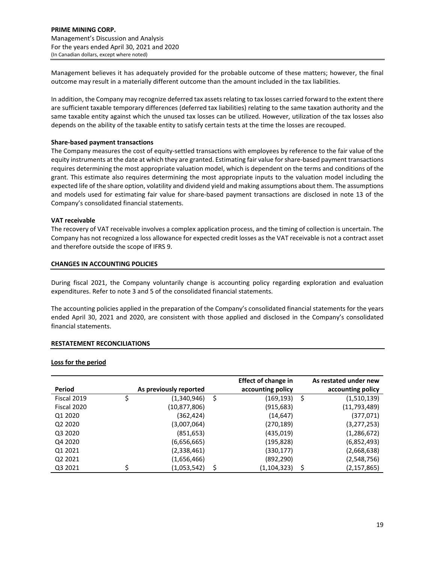Management believes it has adequately provided for the probable outcome of these matters; however, the final outcome may result in a materially different outcome than the amount included in the tax liabilities.

In addition, the Company may recognize deferred tax assets relating to tax losses carried forward to the extent there are sufficient taxable temporary differences (deferred tax liabilities) relating to the same taxation authority and the same taxable entity against which the unused tax losses can be utilized. However, utilization of the tax losses also depends on the ability of the taxable entity to satisfy certain tests at the time the losses are recouped.

## **Share‐based payment transactions**

The Company measures the cost of equity‐settled transactions with employees by reference to the fair value of the equity instruments at the date at which they are granted. Estimating fair value forshare‐based payment transactions requires determining the most appropriate valuation model, which is dependent on the terms and conditions of the grant. This estimate also requires determining the most appropriate inputs to the valuation model including the expected life of the share option, volatility and dividend yield and making assumptions about them. The assumptions and models used for estimating fair value for share‐based payment transactions are disclosed in note 13 of the Company's consolidated financial statements.

## **VAT receivable**

The recovery of VAT receivable involves a complex application process, and the timing of collection is uncertain. The Company has not recognized a loss allowance for expected credit losses as the VAT receivable is not a contract asset and therefore outside the scope of IFRS 9.

## **CHANGES IN ACCOUNTING POLICIES**

During fiscal 2021, the Company voluntarily change is accounting policy regarding exploration and evaluation expenditures. Refer to note 3 and 5 of the consolidated financial statements.

The accounting policies applied in the preparation of the Company's consolidated financial statements for the years ended April 30, 2021 and 2020, are consistent with those applied and disclosed in the Company's consolidated financial statements.

## **RESTATEMENT RECONCILIATIONS**

## **Loss for the period**

|                                 |                        |   | <b>Effect of change in</b> |     | As restated under new |
|---------------------------------|------------------------|---|----------------------------|-----|-----------------------|
| Period                          | As previously reported |   | accounting policy          |     | accounting policy     |
| Fiscal 2019                     | (1,340,946)            | S | (169,193)                  | -\$ | (1,510,139)           |
| Fiscal 2020                     | (10,877,806)           |   | (915, 683)                 |     | (11,793,489)          |
| Q1 2020                         | (362,424)              |   | (14, 647)                  |     | (377, 071)            |
| Q <sub>2</sub> 20 <sub>20</sub> | (3,007,064)            |   | (270, 189)                 |     | (3,277,253)           |
| Q3 2020                         | (851, 653)             |   | (435,019)                  |     | (1, 286, 672)         |
| Q4 2020                         | (6,656,665)            |   | (195, 828)                 |     | (6,852,493)           |
| Q1 2021                         | (2,338,461)            |   | (330, 177)                 |     | (2,668,638)           |
| Q <sub>2</sub> 2021             | (1,656,466)            |   | (892, 290)                 |     | (2,548,756)           |
| Q3 2021                         | (1,053,542)            |   | (1, 104, 323)              | \$  | (2, 157, 865)         |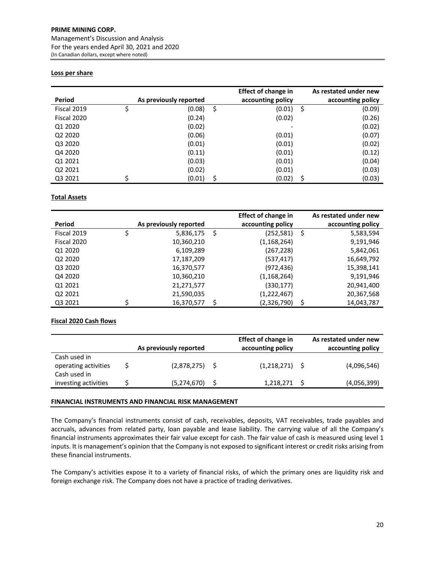## **PRIME MINING CORP.**

Management's Discussion and Analysis For the years ended April 30, 2021 and 2020 (In Canadian dollars, except where noted)

## **Loss per share**

| Period      | As previously reported |    | <b>Effect of change in</b><br>accounting policy |     | As restated under new<br>accounting policy |
|-------------|------------------------|----|-------------------------------------------------|-----|--------------------------------------------|
| Fiscal 2019 | (0.08)                 | \$ | (0.01)                                          | -\$ | (0.09)                                     |
| Fiscal 2020 | (0.24)                 |    | (0.02)                                          |     | (0.26)                                     |
| Q1 2020     | (0.02)                 |    |                                                 |     | (0.02)                                     |
| Q2 2020     | (0.06)                 |    | (0.01)                                          |     | (0.07)                                     |
| Q3 2020     | (0.01)                 |    | (0.01)                                          |     | (0.02)                                     |
| Q4 2020     | (0.11)                 |    | (0.01)                                          |     | (0.12)                                     |
| Q1 2021     | (0.03)                 |    | (0.01)                                          |     | (0.04)                                     |
| Q2 2021     | (0.02)                 |    | (0.01)                                          |     | (0.03)                                     |
| Q3 2021     | (0.01)                 | Ś  | (0.02)                                          |     | (0.03)                                     |

## **Total Assets**

|                                 |   |                        |   | <b>Effect of change in</b> |     | As restated under new |
|---------------------------------|---|------------------------|---|----------------------------|-----|-----------------------|
| Period                          |   | As previously reported |   | accounting policy          |     | accounting policy     |
| Fiscal 2019                     | Ş | 5,836,175              | S | (252, 581)                 | \$. | 5,583,594             |
| Fiscal 2020                     |   | 10,360,210             |   | (1,168,264)                |     | 9,191,946             |
| Q1 2020                         |   | 6,109,289              |   | (267,228)                  |     | 5,842,061             |
| Q <sub>2</sub> 20 <sub>20</sub> |   | 17,187,209             |   | (537,417)                  |     | 16,649,792            |
| Q3 2020                         |   | 16,370,577             |   | (972,436)                  |     | 15,398,141            |
| Q4 2020                         |   | 10,360,210             |   | (1, 168, 264)              |     | 9,191,946             |
| Q1 2021                         |   | 21,271,577             |   | (330,177)                  |     | 20,941,400            |
| Q <sub>2</sub> 2021             |   | 21,590,035             |   | (1,222,467)                |     | 20,367,568            |
| Q3 2021                         |   | 16,370,577             |   | (2,326,790)                |     | 14,043,787            |

# **Fiscal 2020 Cash flows**

|                                                      | As previously reported | <b>Effect of change in</b><br>accounting policy | As restated under new<br>accounting policy |
|------------------------------------------------------|------------------------|-------------------------------------------------|--------------------------------------------|
| Cash used in<br>operating activities<br>Cash used in | $(2,878,275)$ \$       | $(1,218,271)$ \$                                | (4,096,546)                                |
| investing activities                                 | (5,274,670)            | 1,218,271                                       | (4,056,399)                                |

## **FINANCIAL INSTRUMENTS AND FINANCIAL RISK MANAGEMENT**

The Company's financial instruments consist of cash, receivables, deposits, VAT receivables, trade payables and accruals, advances from related party, loan payable and lease liability. The carrying value of all the Company's financial instruments approximates their fair value except for cash. The fair value of cash is measured using level 1 inputs. It is management's opinion that the Company is not exposed to significant interest or credit risks arising from these financial instruments.

The Company's activities expose it to a variety of financial risks, of which the primary ones are liquidity risk and foreign exchange risk. The Company does not have a practice of trading derivatives.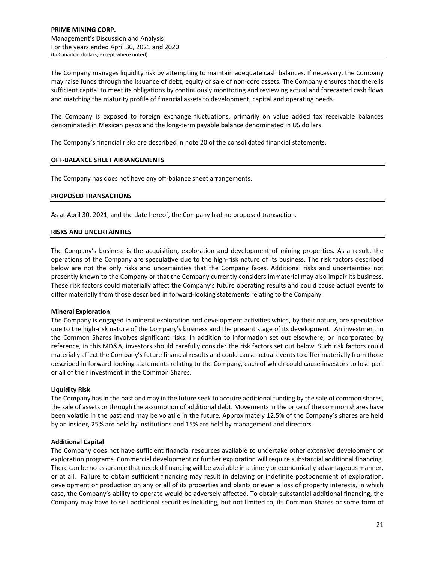The Company manages liquidity risk by attempting to maintain adequate cash balances. If necessary, the Company may raise funds through the issuance of debt, equity or sale of non-core assets. The Company ensures that there is sufficient capital to meet its obligations by continuously monitoring and reviewing actual and forecasted cash flows and matching the maturity profile of financial assets to development, capital and operating needs.

The Company is exposed to foreign exchange fluctuations, primarily on value added tax receivable balances denominated in Mexican pesos and the long‐term payable balance denominated in US dollars.

The Company's financial risks are described in note 20 of the consolidated financial statements.

## **OFF‐BALANCE SHEET ARRANGEMENTS**

The Company has does not have any off-balance sheet arrangements.

## **PROPOSED TRANSACTIONS**

As at April 30, 2021, and the date hereof, the Company had no proposed transaction.

## **RISKS AND UNCERTAINTIES**

The Company's business is the acquisition, exploration and development of mining properties. As a result, the operations of the Company are speculative due to the high‐risk nature of its business. The risk factors described below are not the only risks and uncertainties that the Company faces. Additional risks and uncertainties not presently known to the Company or that the Company currently considers immaterial may also impair its business. These risk factors could materially affect the Company's future operating results and could cause actual events to differ materially from those described in forward‐looking statements relating to the Company.

## **Mineral Exploration**

The Company is engaged in mineral exploration and development activities which, by their nature, are speculative due to the high-risk nature of the Company's business and the present stage of its development. An investment in the Common Shares involves significant risks. In addition to information set out elsewhere, or incorporated by reference, in this MD&A, investors should carefully consider the risk factors set out below. Such risk factors could materially affect the Company's future financial results and could cause actual events to differ materially from those described in forward‐looking statements relating to the Company, each of which could cause investors to lose part or all of their investment in the Common Shares.

## **Liquidity Risk**

The Company has in the past and may in the future seek to acquire additional funding by the sale of common shares, the sale of assets or through the assumption of additional debt. Movements in the price of the common shares have been volatile in the past and may be volatile in the future. Approximately 12.5% of the Company's shares are held by an insider, 25% are held by institutions and 15% are held by management and directors.

# **Additional Capital**

The Company does not have sufficient financial resources available to undertake other extensive development or exploration programs. Commercial development or further exploration will require substantial additional financing. There can be no assurance that needed financing will be available in a timely or economically advantageous manner, or at all. Failure to obtain sufficient financing may result in delaying or indefinite postponement of exploration, development or production on any or all of its properties and plants or even a loss of property interests, in which case, the Company's ability to operate would be adversely affected. To obtain substantial additional financing, the Company may have to sell additional securities including, but not limited to, its Common Shares or some form of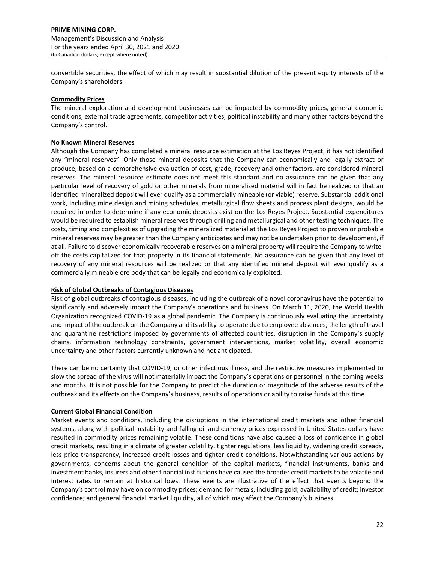convertible securities, the effect of which may result in substantial dilution of the present equity interests of the Company's shareholders.

## **Commodity Prices**

The mineral exploration and development businesses can be impacted by commodity prices, general economic conditions, external trade agreements, competitor activities, political instability and many other factors beyond the Company's control.

## **No Known Mineral Reserves**

Although the Company has completed a mineral resource estimation at the Los Reyes Project, it has not identified any "mineral reserves". Only those mineral deposits that the Company can economically and legally extract or produce, based on a comprehensive evaluation of cost, grade, recovery and other factors, are considered mineral reserves. The mineral resource estimate does not meet this standard and no assurance can be given that any particular level of recovery of gold or other minerals from mineralized material will in fact be realized or that an identified mineralized deposit will ever qualify as a commercially mineable (or viable) reserve. Substantial additional work, including mine design and mining schedules, metallurgical flow sheets and process plant designs, would be required in order to determine if any economic deposits exist on the Los Reyes Project. Substantial expenditures would be required to establish mineral reserves through drilling and metallurgical and other testing techniques. The costs, timing and complexities of upgrading the mineralized material at the Los Reyes Project to proven or probable mineral reserves may be greater than the Company anticipates and may not be undertaken prior to development, if at all. Failure to discover economically recoverable reserves on a mineral property will require the Company to writeoff the costs capitalized for that property in its financial statements. No assurance can be given that any level of recovery of any mineral resources will be realized or that any identified mineral deposit will ever qualify as a commercially mineable ore body that can be legally and economically exploited.

# **Risk of Global Outbreaks of Contagious Diseases**

Risk of global outbreaks of contagious diseases, including the outbreak of a novel coronavirus have the potential to significantly and adversely impact the Company's operations and business. On March 11, 2020, the World Health Organization recognized COVID‐19 as a global pandemic. The Company is continuously evaluating the uncertainty and impact of the outbreak on the Company and its ability to operate due to employee absences, the length of travel and quarantine restrictions imposed by governments of affected countries, disruption in the Company's supply chains, information technology constraints, government interventions, market volatility, overall economic uncertainty and other factors currently unknown and not anticipated.

There can be no certainty that COVID‐19, or other infectious illness, and the restrictive measures implemented to slow the spread of the virus will not materially impact the Company's operations or personnel in the coming weeks and months. It is not possible for the Company to predict the duration or magnitude of the adverse results of the outbreak and its effects on the Company's business, results of operations or ability to raise funds at this time.

# **Current Global Financial Condition**

Market events and conditions, including the disruptions in the international credit markets and other financial systems, along with political instability and falling oil and currency prices expressed in United States dollars have resulted in commodity prices remaining volatile. These conditions have also caused a loss of confidence in global credit markets, resulting in a climate of greater volatility, tighter regulations, less liquidity, widening credit spreads, less price transparency, increased credit losses and tighter credit conditions. Notwithstanding various actions by governments, concerns about the general condition of the capital markets, financial instruments, banks and investment banks, insurers and other financial institutions have caused the broader credit markets to be volatile and interest rates to remain at historical lows. These events are illustrative of the effect that events beyond the Company's control may have on commodity prices; demand for metals, including gold; availability of credit; investor confidence; and general financial market liquidity, all of which may affect the Company's business.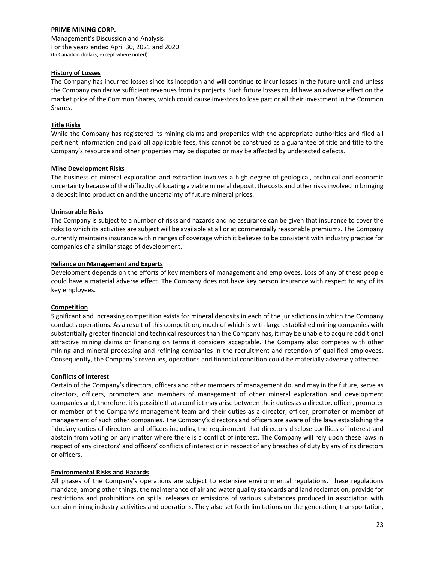## **History of Losses**

The Company has incurred losses since its inception and will continue to incur losses in the future until and unless the Company can derive sufficient revenues from its projects. Such future losses could have an adverse effect on the market price of the Common Shares, which could cause investors to lose part or all their investment in the Common Shares.

## **Title Risks**

While the Company has registered its mining claims and properties with the appropriate authorities and filed all pertinent information and paid all applicable fees, this cannot be construed as a guarantee of title and title to the Company's resource and other properties may be disputed or may be affected by undetected defects.

## **Mine Development Risks**

The business of mineral exploration and extraction involves a high degree of geological, technical and economic uncertainty because of the difficulty of locating a viable mineral deposit, the costs and other risksinvolved in bringing a deposit into production and the uncertainty of future mineral prices.

## **Uninsurable Risks**

The Company is subject to a number of risks and hazards and no assurance can be given that insurance to cover the risks to which its activities are subject will be available at all or at commercially reasonable premiums. The Company currently maintains insurance within ranges of coverage which it believes to be consistent with industry practice for companies of a similar stage of development.

## **Reliance on Management and Experts**

Development depends on the efforts of key members of management and employees. Loss of any of these people could have a material adverse effect. The Company does not have key person insurance with respect to any of its key employees.

## **Competition**

Significant and increasing competition exists for mineral deposits in each of the jurisdictions in which the Company conducts operations. As a result of this competition, much of which is with large established mining companies with substantially greater financial and technical resources than the Company has, it may be unable to acquire additional attractive mining claims or financing on terms it considers acceptable. The Company also competes with other mining and mineral processing and refining companies in the recruitment and retention of qualified employees. Consequently, the Company's revenues, operations and financial condition could be materially adversely affected.

## **Conflicts of Interest**

Certain of the Company's directors, officers and other members of management do, and may in the future, serve as directors, officers, promoters and members of management of other mineral exploration and development companies and, therefore, it is possible that a conflict may arise between their duties as a director, officer, promoter or member of the Company's management team and their duties as a director, officer, promoter or member of management of such other companies. The Company's directors and officers are aware of the laws establishing the fiduciary duties of directors and officers including the requirement that directors disclose conflicts of interest and abstain from voting on any matter where there is a conflict of interest. The Company will rely upon these laws in respect of any directors' and officers' conflicts of interest or in respect of any breaches of duty by any of its directors or officers.

## **Environmental Risks and Hazards**

All phases of the Company's operations are subject to extensive environmental regulations. These regulations mandate, among other things, the maintenance of air and water quality standards and land reclamation, provide for restrictions and prohibitions on spills, releases or emissions of various substances produced in association with certain mining industry activities and operations. They also set forth limitations on the generation, transportation,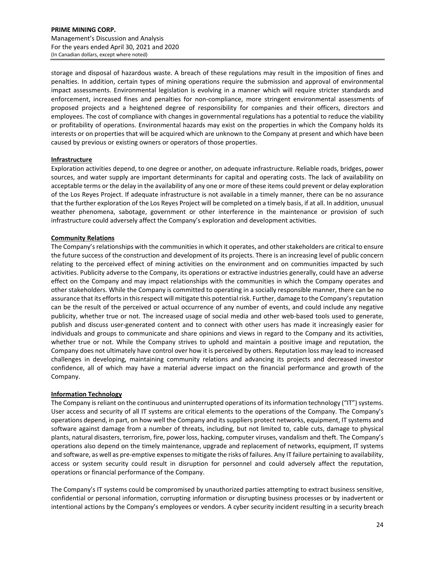storage and disposal of hazardous waste. A breach of these regulations may result in the imposition of fines and penalties. In addition, certain types of mining operations require the submission and approval of environmental impact assessments. Environmental legislation is evolving in a manner which will require stricter standards and enforcement, increased fines and penalties for non‐compliance, more stringent environmental assessments of proposed projects and a heightened degree of responsibility for companies and their officers, directors and employees. The cost of compliance with changes in governmental regulations has a potential to reduce the viability or profitability of operations. Environmental hazards may exist on the properties in which the Company holds its interests or on properties that will be acquired which are unknown to the Company at present and which have been caused by previous or existing owners or operators of those properties.

## **Infrastructure**

Exploration activities depend, to one degree or another, on adequate infrastructure. Reliable roads, bridges, power sources, and water supply are important determinants for capital and operating costs. The lack of availability on acceptable terms or the delay in the availability of any one or more of these items could prevent or delay exploration of the Los Reyes Project. If adequate infrastructure is not available in a timely manner, there can be no assurance that the further exploration of the Los Reyes Project will be completed on a timely basis, if at all. In addition, unusual weather phenomena, sabotage, government or other interference in the maintenance or provision of such infrastructure could adversely affect the Company's exploration and development activities.

## **Community Relations**

The Company's relationships with the communities in which it operates, and other stakeholders are critical to ensure the future success of the construction and development of its projects. There is an increasing level of public concern relating to the perceived effect of mining activities on the environment and on communities impacted by such activities. Publicity adverse to the Company, its operations or extractive industries generally, could have an adverse effect on the Company and may impact relationships with the communities in which the Company operates and other stakeholders. While the Company is committed to operating in a socially responsible manner, there can be no assurance that its efforts in this respect will mitigate this potential risk. Further, damage to the Company's reputation can be the result of the perceived or actual occurrence of any number of events, and could include any negative publicity, whether true or not. The increased usage of social media and other web-based tools used to generate, publish and discuss user‐generated content and to connect with other users has made it increasingly easier for individuals and groups to communicate and share opinions and views in regard to the Company and its activities, whether true or not. While the Company strives to uphold and maintain a positive image and reputation, the Company does not ultimately have control over how it is perceived by others. Reputation loss may lead to increased challenges in developing, maintaining community relations and advancing its projects and decreased investor confidence, all of which may have a material adverse impact on the financial performance and growth of the Company.

## **Information Technology**

The Company is reliant on the continuous and uninterrupted operations of its information technology ("IT") systems. User access and security of all IT systems are critical elements to the operations of the Company. The Company's operations depend, in part, on how well the Company and itssuppliers protect networks, equipment, IT systems and software against damage from a number of threats, including, but not limited to, cable cuts, damage to physical plants, natural disasters, terrorism, fire, power loss, hacking, computer viruses, vandalism and theft. The Company's operations also depend on the timely maintenance, upgrade and replacement of networks, equipment, IT systems and software, as well as pre-emptive expenses to mitigate the risks of failures. Any IT failure pertaining to availability, access or system security could result in disruption for personnel and could adversely affect the reputation, operations or financial performance of the Company.

The Company's IT systems could be compromised by unauthorized parties attempting to extract business sensitive, confidential or personal information, corrupting information or disrupting business processes or by inadvertent or intentional actions by the Company's employees or vendors. A cyber security incident resulting in a security breach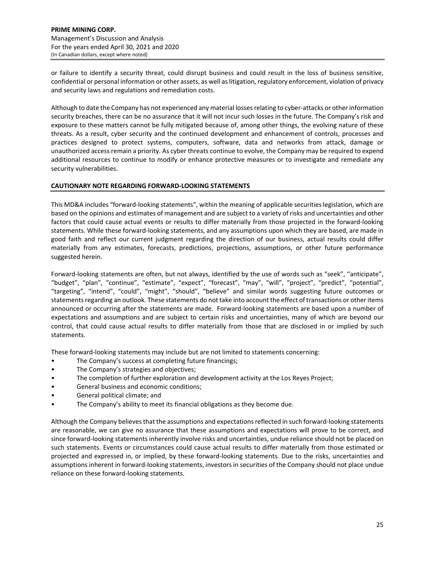or failure to identify a security threat, could disrupt business and could result in the loss of business sensitive, confidential or personal information or other assets, as well aslitigation, regulatory enforcement, violation of privacy and security laws and regulations and remediation costs.

Although to date the Company has not experienced any material losses relating to cyber-attacks or other information security breaches, there can be no assurance that it will not incur such losses in the future. The Company's risk and exposure to these matters cannot be fully mitigated because of, among other things, the evolving nature of these threats. As a result, cyber security and the continued development and enhancement of controls, processes and practices designed to protect systems, computers, software, data and networks from attack, damage or unauthorized access remain a priority. As cyber threats continue to evolve, the Company may be required to expend additional resources to continue to modify or enhance protective measures or to investigate and remediate any security vulnerabilities.

# **CAUTIONARY NOTE REGARDING FORWARD‐LOOKING STATEMENTS**

This MD&A includes "forward‐looking statements", within the meaning of applicable securitieslegislation, which are based on the opinions and estimates of management and are subject to a variety of risks and uncertainties and other factors that could cause actual events or results to differ materially from those projected in the forward‐looking statements. While these forward‐looking statements, and any assumptions upon which they are based, are made in good faith and reflect our current judgment regarding the direction of our business, actual results could differ materially from any estimates, forecasts, predictions, projections, assumptions, or other future performance suggested herein.

Forward-looking statements are often, but not always, identified by the use of words such as "seek", "anticipate", "budget", "plan", "continue", "estimate", "expect", "forecast", "may", "will", "project", "predict", "potential", "targeting", "intend", "could", "might", "should", "believe" and similar words suggesting future outcomes or statements regarding an outlook. These statements do not take into account the effect of transactions or other items announced or occurring after the statements are made. Forward‐looking statements are based upon a number of expectations and assumptions and are subject to certain risks and uncertainties, many of which are beyond our control, that could cause actual results to differ materially from those that are disclosed in or implied by such statements.

These forward‐looking statements may include but are not limited to statements concerning:

- The Company's success at completing future financings;
- The Company's strategies and objectives;
- The completion of further exploration and development activity at the Los Reyes Project;
- General business and economic conditions;
- General political climate; and
- The Company's ability to meet its financial obligations as they become due.

Although the Company believesthat the assumptions and expectationsreflected in such forward‐looking statements are reasonable, we can give no assurance that these assumptions and expectations will prove to be correct, and since forward-looking statements inherently involve risks and uncertainties, undue reliance should not be placed on such statements. Events or circumstances could cause actual results to differ materially from those estimated or projected and expressed in, or implied, by these forward‐looking statements. Due to the risks, uncertainties and assumptions inherent in forward‐looking statements, investors in securities of the Company should not place undue reliance on these forward‐looking statements.